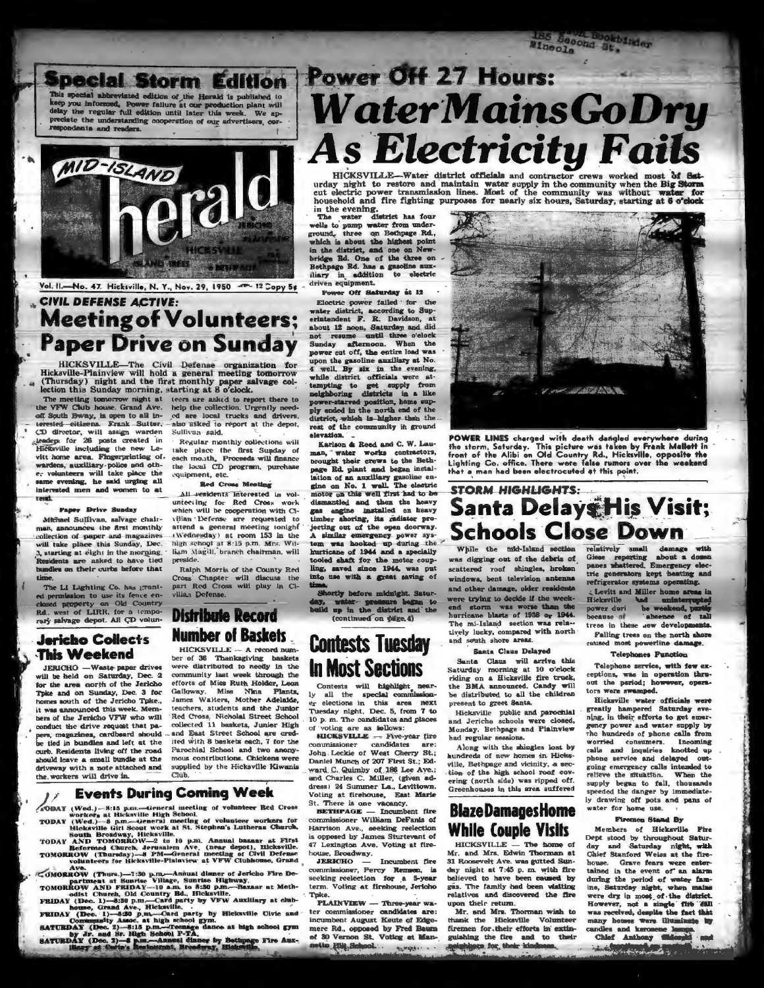BS Become Spoke **Dkbinder** Winecla



Vol. II. No. 47. Hicksville, N. Y., Nov. 29, 1950 - 12 Copy 54 **CIVIL DEFENSE ACTIVE:** 

# **Meeting of Volunteers; Paper Drive on Sunday**

HICKSVILLE-The Civil Defense organization for<br>Hicksville-Plainview will hold a general meeting tomorrow (Thursday) night and the first monthly paper salvage collection this Sunday morning, starting at 8 o'clock.

The meeting tomorrow night at<br>te VFW Club house. Grand Ave. off South Bway, is open to all insted oitizens. Frank Suiter CD director, will assign warden leaders for 26 posts created in richane area, Fingerprinting of-<br>wardens, auxiliary-police and other-<br>vardens, auxiliary-police and other-<br>volunteers will take place the<br>same evening, he said urging all interested men and women to at tend.

#### Paper Drive Sunday

Michael Sullivan, salvage chairman, announces the first monthly collection of paper and magazines<br>will take place this Sunday, Dec. 3, starting at eight in the morning. lents are asked to have tied adies on their curbs before that a kenne

The LI Lighting Co, has grantpermission to use its fence en-<br>led property on Old Country.<br>west of LIRR, for a tempo-**Rd** rary salvage depot. All CD volun-

### **Jericho Collects This Weekend**

**JERICHO** - Waste-paper drives will be held on Saturday, Dec. 2<br>for the area north of the Jericho Thke and on Sunday, Dec. 3 for s south of the Jericho Tpke. it was announced this week. Members of the Jericho VFW who will conduct the drive request that papers, magazines, cardbeard should<br>be tied in bundles and left at the curb. Residents living off the road should leave a small bundle at the driveway with a note attached and the workers will drive in.

teers are asked to report there to help the collection. Urgently need-of are local trucks and drivers. also asked to report at the depot, Sullivan said.

Regular monthly collections will take place the first Sunday of each month, Proceeds will finance the local CD program, purchase<br>equipment, etc.

**Red Cross Meeting** 

All residents interested in volunteeting for Red Cross work<br>which will be cooperation with Civilian Defense are requested to attend a general meeting tonight (Wednesday) at room 153 in the high school at 8:15 p.m. Mrs. William Magill, branch chairman, will pres Ralph Morris of the County Red

Cross Chapter will discuss the part Red Cross will play in Ci-.<br>vilian Defense.

# **Distribute Record Number of Baskets**

HICKSVILLE --- A record number of 36 Thanksgiving baskets were distributed to needy in the community last week through the efforts of Miss Ruth Holder, Leon<br>Gelloway, Miss Nina Plantz,<br>James Walters, Mother Adelaide, teachers, students and the Junior Red Cross, Nicholai Street School collected 11 baskets, Junior High and East Street School are credited with 8 baskets each, 7 for the Parochial School and two anonymous contributions. Chickens were supplied by the Hicksville Kiwanis  $\overline{\text{Cmb}}$ 

### **Events During Coming Week**

- **OBAY** (Wed.)-8:15 p.m.-General meeting of volunteer Red Cross workers at Hicksville High School.
- 
- ACODAT (Wed.)—Si15 p.m.—tieneral meeting of vormseer ned Cross<br>
TODAT (Wed.)—Si15 p.m.—tieneral meeting of voluties workers for<br>
Hickaville dirl Soot work at St. Stepher's Lutheran Church,<br>
South Broadway, Hickaville.<br>
TOD
- 

Volumeers for Hicksville-Plainview at v. F.W. Clumouse, crosses of MOREOW (Thurs.)-7:30 p.m.-Annual dinner of Jericho Fire De-<br>TOMOREOW AND FRIDAY--10 a.m. to 3:30 p.m.-Baznar at Meth-<br>TOMOREOW AND FRIDAY--10 a.m. to 3:30

# Power Off 27 Hours: **WaterMainsGoDry As Electricity Fails**

include the community when the Big Storm<br>cut electric power transmission lines. Most of the community was without water for<br>household and fire fighting purposes for nearly six hours, Saturday, starting at 6 o'clock

wells to pump water iron uner-<br>ground, three on Bethpage Rd,<br>which is about the highest point<br>in the district, and one on New-<br>bridge Rd. has a gasoline sum-<br>liary in addition to electric driven equipment.

Power Off Saturday at 12

Electric power failed for the water district, according to Sup-<br>erintendent F. R. Davidson, at about 12 noon, Saturday and did not resume until three o'clock not resume until three o'clock Sunday afternoon. When the power cut off, the entire load was upon the gasoline auxiliary at No. well. By six in the evening, while district officials were atwhen correct oriental were attacked to get amply from neighboring districts in a like power-started position, home supply ended in the north end of the district, which is a higher-than rest of the community in ground m.

Karlson & Reed and C. W. Lauman, water works contractors, brought their crews to the Bethpage Rd. plant and began installation of an auxiliary gasoline engine on No. 1 wall. The electric motor on this well first had to be dismantled and then the heavy gas angine installed on heavy timber shoring, its radiator pro jecting out of the open doorway. A similar emergency power system was hooked up during the hurricane of 1944 and a specially oled shaft for the motor coupling, saved since 1944, was put<br>into use with a great saving of

ortly before m dnight. Saturwater- pressure began to up in the district and the (continued on pifge, 4)

# **Contests Tuesday In Most Sections**

Contests will highlight near- $\mathbf{y}$ er elections in this area next Tuesday night, Dec. 5, from 7 to 10 p.m. The candidates and places

voting are as follows:<br>HICKSVILLE - Five-year fire commissioner candidates are:<br>John Leckie of West Cherry St.: Daniel Munch of 207 First St.; Edward C. Quimby of 186 Lee Ave.;<br>and Charles C. Miller, (given address) 24 Summer La., Levittown. Voting at firehouse, East Marie

St. There is one vacancy.<br>BETHPAGE - Incumbent fire ommissioner William DeFanis of Harrison Ave., seeking reelection opposed by James Sturtevant of 

commissioner, Percy Remsen, is seeking reelection for a 5-year<br>term. Voting at firehouse, Jericho **Tpke** 

PLAINVIEW - Three-year water commissioner candidates are: incumbent August Keute of Edgemere Rd., opposed by Fred Baum of 30 Vernon St. Voting at Mannetto Filip School... of Andrew ...



POWER LINES charged with death dangled everywhere during<br>the sterm, Saturday. This picture was taken by Frank Mallett in<br>front of the Alibi on Old Country Rd., Hicksville, opposite the<br>Lighting Co. office. There were false

# **STORM HIGHLIGHTS:** Santa Delays His Visit; **Schools Close Down**

While the mid-Island section ras digging out of the debris of scattered roof shingles, broken windows, bent television antenna and other damage, older residents were trying to decide if the weekend storm was worse than the<br>hurricane blasts of 1938 or 1944.<br>The mi-Island section was related tively lucky, compared with north and south shore areas

Santa Claus Delayed

Santa Claus will arrive this<br>Saturday morning at 10 o'clock riding on a Hicksville fire truck, the BMA announced. Candy will be distributed to all the children present to greet Santa.

Hicksville public and parochial Monday. Bethpage and Plainview had regular sessions.

Along with the shingles lost by hundreds of new homes in Hicksville, Bethpage and vicinity, a section of the high school roaf covering (north side) was ripped off.<br>Greenhouses in this area suffered

## **BlazeDamagesHome While Couple Visits**

HICKSVILLE - The home of Mr. and Mrs. Edwin Thorman at 31 Roosevelt Ave. was gutted Sunday night at 7:45 p. m. with fire believed to have been caused by gas. The family had been visiting relatives and discovered the fire upon their return.

Mr. and Mrs. Thorman wish to thank the Hicksville Volunteer firemen for their efforts in extin guishing the fire and to their relatively small damage with Giese reporting about a domen<br>panes whattered. Emergency electric generators kept heating and refrigerator systems operating

Levitt and Miller home areas in Hicksville<br>power duri had unintercupted<br>power duri he weekend, partis-<br>because of tall trees in these new develop Falling trees on the north shore caused most powerline damage.

#### **Telephones Function**

Telephone service, with few exceptions, was in operation thru-<br>out the period; however, operators were swamped.

Hicksville water officials were<br>greatly hampered Saturday evening, in their efforts to get emergency power and water supply by the hundreds of phone calls from worried consumers. Incoming<br>calls and inquiries knotted up phone service and delayed outgoing emergency calls intended to<br>relieve the situation. When the began to fall, thousands supply speeded the danger by immediatedrawing off pots and pans of water for home use.

#### Firemen Stand By

Members of Hicksville Fire<br>Dept stood by throughout Saturday and Saturday night, with house. Grave fears were enter tained in the event of an alarm during the period of water famine, Saturday night, when mains ere dry in most of the district However, not a single fitt 'SMI many homes were illuminate by

any nouses were the order of the Chief Anthony Sides **SAN DAY**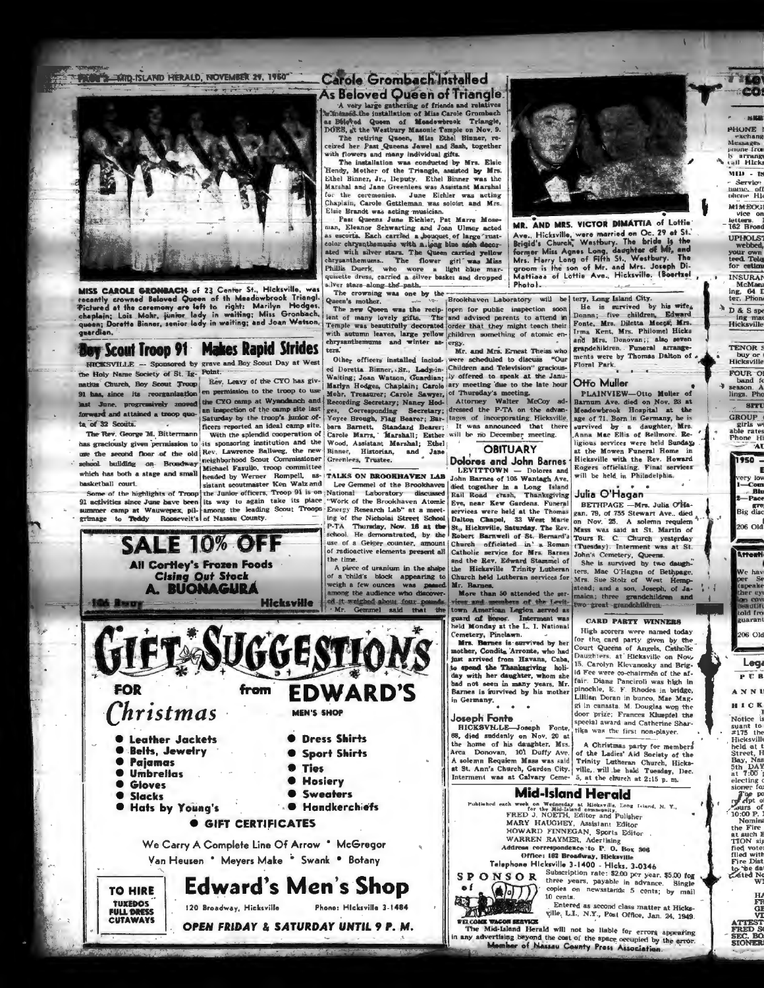PACE 3 MID ISLAND HERALD, NOVEMBER 27, 1960"



MISS CAROLE GRONBACH of 23 Center St., Hicksville, was mean Control of the Meadure of the Meadure Control of the Catalogue of the Meadure Control Triangle Chapter of the Control of Triangle Chapter Chapter Chapter (September 2014) (1915) (1916) (1916) (1916) (1916) (1916) (191 guardian.

# **Boy Scout Troop 91 Makes Rapid Strides**

**SALE 10% OFF** 

**All Cortley's Frozen Foods** 

**Cising Out Stock** 

A. BUONAGURA

The Rev. George M. Bittermann has graciously given permission to its sponsoring institution and the لقبيد which has both a stage and small basketball court.

106 B ...

FOR

 $\bullet$ 

Christmas

**C** Leather Jackets

**. Hats by Young's** 

**O** Belts, Jewelry

**• Pajamas** 

**O** Umbrellas

**Gloves** 

**Slacks** 

**TO HIRE** 

**TUXEDOS** 

FULL DRESS<br>CUTAWAYS

With the splendid cooperation of use the second floor of the old Rev. Lawrence Ballweg, the new Binner, Historian, on second that we the out englisherhood Scout Commissioner (Greenless, Trustee,

Some of the highlights of Troop the Junior officers, Troop 91 is on National Laboratory discusses 91 activities since June have been its way to again take its place

**from** 

*O GIFT CERTIFICATES* 

120 Broadway, Hicksville

We Carry A Complete Line Of Arrow \* McGregor

Van Heusen \* Meyers Make \* Swank \* Botany

**MEN'S SHOP** 

l Ties

**Edward's Men's Shop** 

OPEN FRIDAY & SATURDAY UNTIL 9 P. M.

**Hosiery** 

Sweaters

**. • Handkerchiefs** 

Phone: Hicksville 3-1484

As Beloved Queen of Triangle

As Deliver of History of Tiends and relatives<br>A vary large gathering of friends and relatives<br>Awifichaeld.the installation of Miss Carole Grombach<br>an Biologed Queen of Meadowhood. Triangle,<br>DES, at the Westbury Masonic Tem

Carole Grombach Installed

and Mother of the Triangle, assisted by Mrs.<br>Ethel Binner, Jr., Deputy. Ethel Binner was the Marshal and Jane Greenless was Assistant Marshal and Jane Greenless was acting for the ceremonies. June Eichler was acting Chaplain, Carole Gettleman was soloist and Mrs Elsie Brandt was acting musician.

Past Queens June Eichler, Pat Marrs Moseman, nearly cleaning and one of large Trust-<br>color chrysnibenums with a long blue asset color chrysnibenums with a long blue asset with site<br>retains the stars. The Queen carried yellow at the divisor of the flower<br>chrysnib s.lver stars along the path.

The crowning was one by the methods and the leftery, Long Island City.<br>The crowning was one by the Brookhaven Laboratory will be tery, Long Island City. Queen's mother. The new Queen was the recip-open for public inspection soon<br>ient of many lovely gifts. The and advised parents to attend in<br>Temple was beautifully decorated order that they might teach their with autumn leaves, large yellow children something of atomic enchrysanthemums and winter as ergy. tezi Mr. and Mrs. Ernest Theiss who

**OBITUARY** 

died together in a Long

The Rev. George M. Bittermann with the submitted a troop quoding the intensity of the cycle and deal camp site. by the forest installed include, were scheduled to discuss "Our the Holy Name Society of St. Ig. Point: Washi Other officers installed includ- were scheduled to discuss "Our bara Barnett, Standard Bearer; It was announced that there Carole Marra, Marshall; Esther will be no December meeting. Wood, Assistant Marshal; Ethel Dolores and John Barnes

headed by Werner Rompell, as- TALKS ON BROOKHAVEN LAB sistant scoutmaster Ken Walz and Lee Gemmel of the Brookhaven John Barnes of 105 Wantagh Ave. "Work of the Brookhaven Atomic summer camp at Wauwepex, pil-hamong the leading Scout Troops Energy Research Lab" at a meet<br>grimage to Teddy Roosevelt's of Nassau County. ... ing of the Nicholai Street Schoo ing of the Nicholai Street School P-TA Thursday, Nov. 16 at the school. He demonstrated, by the use of a Geiger counter, amount of radioactive elements present all the time

> A piece of uranium in the shaha There is used in the suspending to weight a few ounces was passed<br>among the audience who discover-**Hicksville** ed it weighed about four pos



**PHONE** exchang<br>Messages<br>prione from h arrang<br>cail Hicks

 $MID - B$ - Service<br>hame, off<br>phone Hl

**MIMEOG** 

winecod<br>letters.<br>162 Broad

**UPHOLS** webbed,<br>your own<br>teed. Tele INSURAN

McManu<br>ing, 64 I<br>ter, Phon McMa

D & S spe

ing mail

**TENOR S** 

buy or<br>Hicksville

FOUR O

GROUP O girls w<br>able rates<br>Phone Hi

 $1950 -$ 

ery lov<br>-- Com<br>-- Pace

Ere<br>Big disc

206 Old

**Astenti** 

ve hav<br>er Se<br>speake<br>her ey

lon cow<br>Beautifi<br>told fro<br>guarant

206 Old

Leg

 $P$ **U**<sub>B</sub>

ANNI

HICK

I<br>Notice is

suant to  $\#175$  the Hicksville

Hicksville<br>held at t<br>Street, H<br>Bay, Nas<br>5th DAV<br>at 7:00<br>electing comer for<br>sioner for<br>The po

sioner ray<br>refer to<br>durs of<br>10:00 P.

Nomini<br>the Fire at such E<br>TION sij

fied vote

to the day

HH GH<br>CH GH<br>ATTEST<br>FRED SONER<br>SIONER

F

band fo season. A<br>lings. Pho

**SITU** 

MR. AND MRS. VICTOR DIMATTIA of Lottie mik. ANU MKS. VIGIUN MUMANITA OT LUTHE ANG. Hicksville, were married on Oc. 29 of St.<br>Brigid's Church, Westbury. The bride is the<br>former Miss Agnes Long, dasglate of MR, and<br>Mrs. Harry Lung of Fifth St., Westbury. The<br>groo Photol.

> Donna; five children, Edward Fonte, Mrs. Diletta Meega, M Irma Kent, Mrs. Philomel Hicks Kent, Mrs. Philomel Hicks grandehildren. Funeral arrange-<br>ments were by Thomas Dalton of **Floral Park**

**Otfo Muller** 

PLAINVIEW-Otto Muller of Barnum Ave. died on Nov. 23 Meadowbrook Hospital at the age of 71. Born in Germany, he is survived by a daughter, Mrs. Anna Mac Ellis of Bellmore. Religious services were held Sunday, t the Mowen Funeral Home in Hicksville with the Rev. Howard Rogers officiating. Final services LEVITTOWN - Dolores and will be held in Philadelphia.

#### Julia O'Hagan Rail Road crash, Thanksgiving

Eve, near Kew Gardens. Funeral BETHPAGE -Mrs. Julia O'Hagan. 79, of 755 Stewart Ave., died Dalton Chapel, 33 West Marie St., Hicksville, Saturday. The Rev. on Nov. 25. A solemn requiem Mass was said at St. Martin of Robert Barnwell of St. Bernard's Tours R. C. Church yesterday (Tuesday). Interment was at St. Catholic service for Mrs. Barnes John's Cemetery, Queens.<br>She is survived by two daugh and the Rev. Edward Stammel of the Hickeville Trinity Lutheran

one is survived by two usem-<br>ters, Mae O'Hagan of Behipage,<br>Mrs. Sue Stolz of West Hemp-<br>stead, and a son, Joseph, of Ja-<br>maica; three grandchildren and<br>two treat-grandchildren. Church held Lutheran services for

#### **CARD PARTY WINNERS**

High scorers were named today for the card party given by the<br>Court Queens of Angels, Catholic Daughters, at Hicksville on Nov, 15. Carolyn Klevanosky and Brigid Fee were co-chairmen of the affair. Diana Panciroli was high in pinochle, E. F. Rhodes in bridge. Lillian Doran in bunco, Mae Maggi in canasta. M. Douglas won the door prize; Frances Kluepfel the special award and Catherine Shartika was the first non-player.

A Christmas party for members<br>of the Ladies' Aid Society of the Trinity Lutheran Church. Hicksat St. Ann's Church, Garden City. ville, will be hald Tuesday, Dec.<br>5, at the church at 2:15 p.m. Interment was at Calvary Ceme-**Mid-Island Herald** 

Published each wee ich week on Wednesday at Hicksville, Eong Island, N. Y.,<br>for the Mid-Island community.<br>FRED J. NOETH, Editor and Pulisher MARY HAUGHEY, Assistant Editor<br>MARY HAUGHEY, Assistant Editor<br>HOWARD FINNEGAN, Sports Editor WARREN RAYMER, Aderlising Address correspondence to P. O. Box 306

Office: 162 Broadway, Hicksville

Telephone Hicksville 3-1400 - Hicks: 3-0346<br>S P O N S O R three years, payable in advance. Single copies on newsstands 5 cents; by mail 10 cents.

Entered as second class matter at Hicksville, L.I., N.Y., Post Office, Jan. 24, 1949.

with color waven starting will not be liable for errors appearing<br>in any advertising beyond the cost of the space occupied by the error.<br>Momber of Massau County Press Association.



 $\bullet$  f

 $\left(\bigotimes_{i=1}^{n} \sigma_i \right)$ 

**EX WACON SERVICE** 

**REPAIR**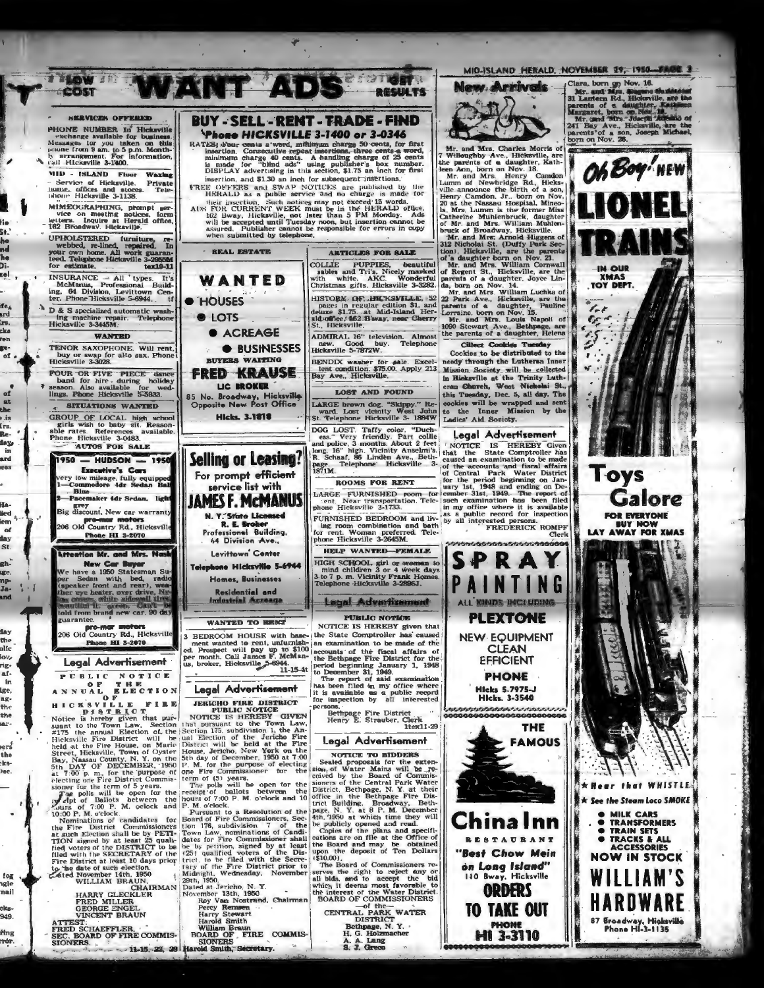

ATTEST:<br>FRED SCHAEFFLER,<br>SEC. BOARD OF FIRE COMMIS-

lie Sŧ.

nd<br>he

Dî.

**Lel** 

fe<sub>á</sub>

**brd** 

rs.<br>cks

ren

re-

 $\overline{ot}$ 

of

the

r is<br>Irs.

Re.

iax

Ŧ.

ard

.<br>.

Ha-

iied<br>iem

of

day

St.

gh-

uge.

np-Ja-

and

day

the

olfe

iov.

rig-

af-

 $\ln$ 

lge.

ag-

.<br>Ne

the ar-

يسما the

the. bee.

 $\log$ 

agle

nail

ek<mark>s-</mark><br>949.

.<br>Mng

ndr.

SEC. BOA<br>SIONERS.

FLER. William Braun<br>FFIRE COMMIS-BOARD OF FIRE COMMIS-<br>11-15, 22, 29 Harold Smith, Secretary.

A. A. Lang<br>S. J. Greco

TO TAKE OUT

**PHONE** 

**HI 3-3110** 

87 Broadway, Hicksville<br>Phone HI-3-1135